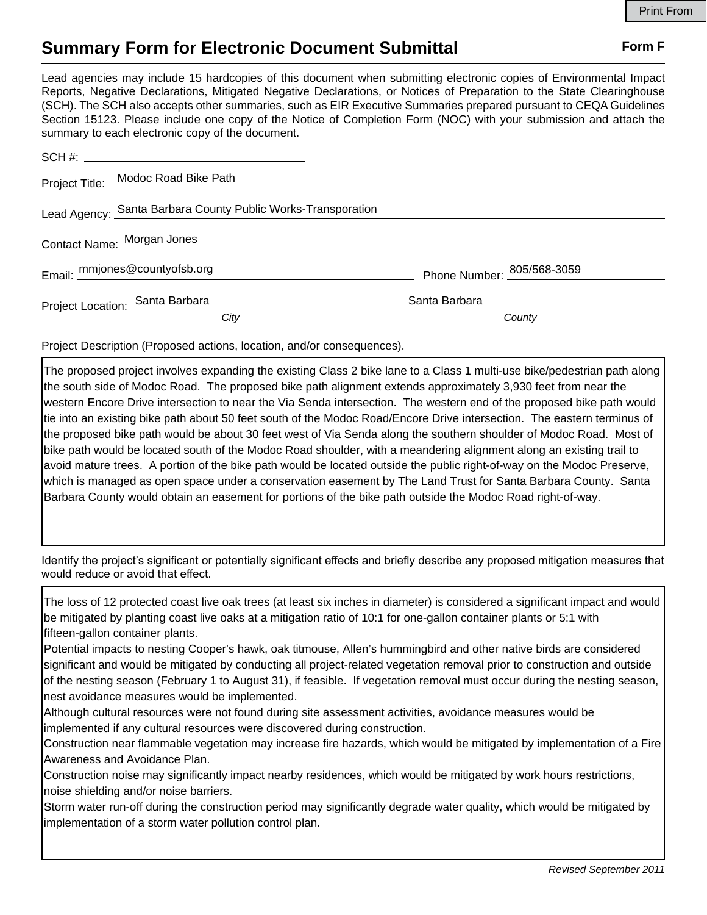## **Summary Form for Electronic Document Submittal Form F Form F**

Lead agencies may include 15 hardcopies of this document when submitting electronic copies of Environmental Impact Reports, Negative Declarations, Mitigated Negative Declarations, or Notices of Preparation to the State Clearinghouse (SCH). The SCH also accepts other summaries, such as EIR Executive Summaries prepared pursuant to CEQA Guidelines Section 15123. Please include one copy of the Notice of Completion Form (NOC) with your submission and attach the summary to each electronic copy of the document.

|                            | Project Title: Modoc Road Bike Path                          |                            |
|----------------------------|--------------------------------------------------------------|----------------------------|
|                            | Lead Agency: Santa Barbara County Public Works-Transporation |                            |
| Contact Name: Morgan Jones |                                                              |                            |
|                            | Email: mmjones@countyofsb.org                                | Phone Number: 805/568-3059 |
|                            | Project Location: Santa Barbara                              | Santa Barbara              |
|                            | City                                                         | County                     |

Project Description (Proposed actions, location, and/or consequences).

The proposed project involves expanding the existing Class 2 bike lane to a Class 1 multi-use bike/pedestrian path along the south side of Modoc Road. The proposed bike path alignment extends approximately 3,930 feet from near the western Encore Drive intersection to near the Via Senda intersection. The western end of the proposed bike path would tie into an existing bike path about 50 feet south of the Modoc Road/Encore Drive intersection. The eastern terminus of the proposed bike path would be about 30 feet west of Via Senda along the southern shoulder of Modoc Road. Most of bike path would be located south of the Modoc Road shoulder, with a meandering alignment along an existing trail to avoid mature trees. A portion of the bike path would be located outside the public right-of-way on the Modoc Preserve, which is managed as open space under a conservation easement by The Land Trust for Santa Barbara County. Santa Barbara County would obtain an easement for portions of the bike path outside the Modoc Road right-of-way.

Identify the project's significant or potentially significant effects and briefly describe any proposed mitigation measures that would reduce or avoid that effect.

The loss of 12 protected coast live oak trees (at least six inches in diameter) is considered a significant impact and would be mitigated by planting coast live oaks at a mitigation ratio of 10:1 for one-gallon container plants or 5:1 with fifteen-gallon container plants.

Potential impacts to nesting Cooper's hawk, oak titmouse, Allen's hummingbird and other native birds are considered significant and would be mitigated by conducting all project-related vegetation removal prior to construction and outside of the nesting season (February 1 to August 31), if feasible. If vegetation removal must occur during the nesting season, nest avoidance measures would be implemented.

Although cultural resources were not found during site assessment activities, avoidance measures would be implemented if any cultural resources were discovered during construction.

Construction near flammable vegetation may increase fire hazards, which would be mitigated by implementation of a Fire Awareness and Avoidance Plan.

Construction noise may significantly impact nearby residences, which would be mitigated by work hours restrictions, noise shielding and/or noise barriers.

Storm water run-off during the construction period may significantly degrade water quality, which would be mitigated by implementation of a storm water pollution control plan.